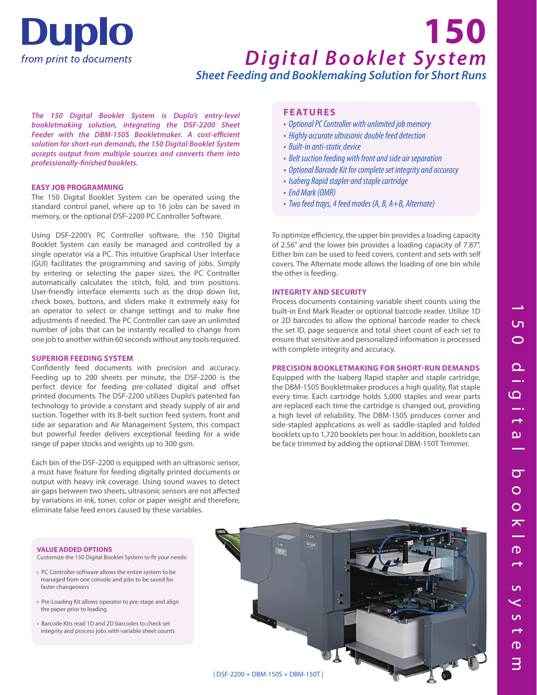

# *Digital Booklet System Sheet Feeding and Booklemaking Solution for Short Runs* **150**

*The 150 Digital Booklet System is Duplo's entry-level bookletmaking solution, integrating the DSF-2200 Sheet Feeder with the DBM-150S Bookletmaker. A cost-efficient solution for short-run demands, the 150 Digital Booklet System accepts output from multiple sources and converts them into professionally-finished booklets.*

# **EASY JOB PROGRAMMING**

The 150 Digital Booklet System can be operated using the standard control panel, where up to 16 jobs can be saved in memory, or the optional DSF-2200 PC Controller Software.

Using DSF-2200's PC Controller software, the 150 Digital Booklet System can easily be managed and controlled by a single operator via a PC. This intuitive Graphical User Interface (GUI) facilitates the programming and saving of jobs. Simply by entering or selecting the paper sizes, the PC Controller automatically calculates the stitch, fold, and trim positions. User-friendly interface elements such as the drop down list, check boxes, buttons, and sliders make it extremely easy for an operator to select or change settings and to make fine adjustments if needed. The PC Controller can save an unlimited number of jobs that can be instantly recalled to change from one job to another within 60 seconds without any tools required.

# **SUPERIOR FEEDING SYSTEM**

Confidently feed documents with precision and accuracy. Feeding up to 200 sheets per minute, the DSF-2200 is the perfect device for feeding pre-collated digital and offset printed documents. The DSF-2200 utilizes Duplo's patented fan technology to provide a constant and steady supply of air and suction. Together with its 8-belt suction feed system, front and side air separation and Air Management System, this compact but powerful feeder delivers exceptional feeding for a wide range of paper stocks and weights up to 300 gsm.

Each bin of the DSF-2200 is equipped with an ultrasonic sensor, a must have feature for feeding digitally printed documents or output with heavy ink coverage. Using sound waves to detect air gaps between two sheets, ultrasonic sensors are not affected by variations in ink, toner, color or paper weight and therefore, eliminate false feed errors caused by these variables.

# **FEATURES**

- Optional PC Controller with unlimited job memory
- Highly accurate ultrasonic double feed detection
- Built-in anti-static device
- Belt suction feeding with front and side air separation
- Optional Barcode Kit for complete set integrity and accuracy
- Isaberg Rapid stapler and staple cartridge
- End Mark (OMR)
- Two feed trays, 4 feed modes (A, B, A+B, Alternate)

To optimize efficiency, the upper bin provides a loading capacity of 2.56" and the lower bin provides a loading capacity of 7.87". Either bin can be used to feed covers, content and sets with self covers. The Alternate mode allows the loading of one bin while the other is feeding.

## **INTEGRITY AND SECURITY**

Process documents containing variable sheet counts using the built-in End Mark Reader or optional barcode reader. Utilize 1D or 2D barcodes to allow the optional barcode reader to check the set ID, page sequence and total sheet count of each set to ensure that sensitive and personalized information is processed with complete integrity and accuracy.

## **PRECISION BOOKLETMAKING FOR SHORT-RUN DEMANDS**

Equipped with the Isaberg Rapid stapler and staple cartridge, the DBM-150S Bookletmaker produces a high quality, flat staple every time. Each cartridge holds 5,000 staples and wear parts are replaced each time the cartridge is changed out, providing a high level of reliability. The DBM-150S produces corner and side-stapled applications as well as saddle-stapled and folded booklets up to 1,720 booklets per hour. In addition, booklets can be face trimmed by adding the optional DBM-150T Trimmer.

#### **VALUE ADDED OPTIONS**

Customize the 150 Digital Booklet System to fit your needs:

- PC Controller software allows the entire system to be managed from one console and jobs to be saved for faster changeovers
- Pre-Loading Kit allows operator to pre-stage and align the paper prior to loading
- Barcode Kits read 1D and 2D barcodes to check set integrity and process jobs with variable sheet counts